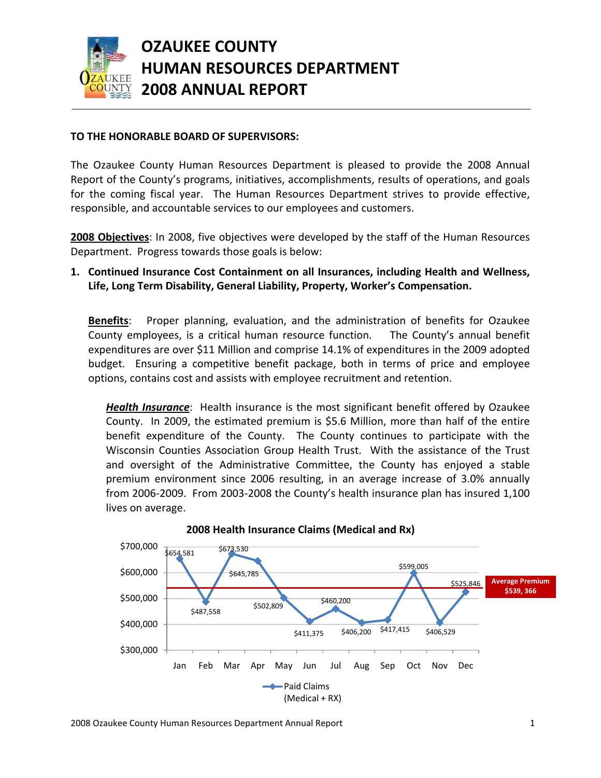

# **OZAUKEE COUNTY HUMAN RESOURCES DEPARTMENT 2008 ANNUAL REPORT**

#### **TO THE HONORABLE BOARD OF SUPERVISORS:**

The Ozaukee County Human Resources Department is pleased to provide the 2008 Annual Report of the County's programs, initiatives, accomplishments, results of operations, and goals for the coming fiscal year. The Human Resources Department strives to provide effective, responsible, and accountable services to our employees and customers.

**2008 Objectives**: In 2008, five objectives were developed by the staff of the Human Resources Department. Progress towards those goals is below:

### **1. Continued Insurance Cost Containment on all Insurances, including Health and Wellness, Life, Long Term Disability, General Liability, Property, Worker's Compensation.**

**Benefits**: Proper planning, evaluation, and the administration of benefits for Ozaukee County employees, is a critical human resource function. The County's annual benefit expenditures are over \$11 Million and comprise 14.1% of expenditures in the 2009 adopted budget. Ensuring a competitive benefit package, both in terms of price and employee options, contains cost and assists with employee recruitment and retention.

*Health Insurance*: Health insurance is the most significant benefit offered by Ozaukee County. In 2009, the estimated premium is \$5.6 Million, more than half of the entire benefit expenditure of the County. The County continues to participate with the Wisconsin Counties Association Group Health Trust. With the assistance of the Trust and oversight of the Administrative Committee, the County has enjoyed a stable premium environment since 2006 resulting, in an average increase of 3.0% annually from 2006‐2009. From 2003‐2008 the County's health insurance plan has insured 1,100 lives on average.



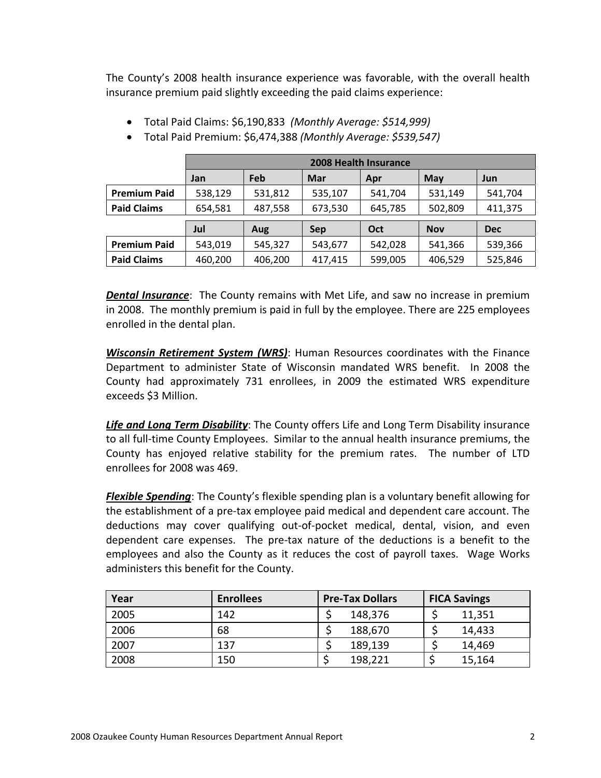The County's 2008 health insurance experience was favorable, with the overall health insurance premium paid slightly exceeding the paid claims experience:

|                     | <b>2008 Health Insurance</b> |         |                    |         |            |            |  |
|---------------------|------------------------------|---------|--------------------|---------|------------|------------|--|
|                     | Jan                          | Feb     | <b>Mar</b>         | Apr     | May        | Jun        |  |
| <b>Premium Paid</b> | 538,129                      | 531,812 | 535,107            | 541,704 | 531,149    | 541,704    |  |
| <b>Paid Claims</b>  | 654,581                      | 487,558 | 673,530<br>645,785 |         | 502,809    | 411,375    |  |
|                     | Jul<br>Aug                   |         | Sep                | Oct     | <b>Nov</b> | <b>Dec</b> |  |
| <b>Premium Paid</b> | 543,019                      | 545,327 | 543,677            | 542,028 | 541,366    | 539,366    |  |
| <b>Paid Claims</b>  | 460,200                      | 406,200 | 417,415            | 599,005 | 406,529    | 525,846    |  |

- Total Paid Claims: \$6,190,833 *(Monthly Average: \$514,999)*
- Total Paid Premium: \$6,474,388 *(Monthly Average: \$539,547)*

*Dental Insurance*: The County remains with Met Life, and saw no increase in premium in 2008. The monthly premium is paid in full by the employee. There are 225 employees enrolled in the dental plan.

*Wisconsin Retirement System (WRS)*: Human Resources coordinates with the Finance Department to administer State of Wisconsin mandated WRS benefit. In 2008 the County had approximately 731 enrollees, in 2009 the estimated WRS expenditure exceeds \$3 Million.

*Life and Long Term Disability*: The County offers Life and Long Term Disability insurance to all full‐time County Employees. Similar to the annual health insurance premiums, the County has enjoyed relative stability for the premium rates. The number of LTD enrollees for 2008 was 469.

*Flexible Spending*: The County's flexible spending plan is a voluntary benefit allowing for the establishment of a pre‐tax employee paid medical and dependent care account. The deductions may cover qualifying out‐of‐pocket medical, dental, vision, and even dependent care expenses. The pre‐tax nature of the deductions is a benefit to the employees and also the County as it reduces the cost of payroll taxes. Wage Works administers this benefit for the County.

| Year | <b>Enrollees</b> | <b>Pre-Tax Dollars</b> | <b>FICA Savings</b> |  |
|------|------------------|------------------------|---------------------|--|
| 2005 | 142              | 148,376                | 11,351              |  |
| 2006 | 68               | 188,670                | 14,433              |  |
| 2007 | 137              | 189,139                | 14,469              |  |
| 2008 | 150              | 198,221                | 15,164              |  |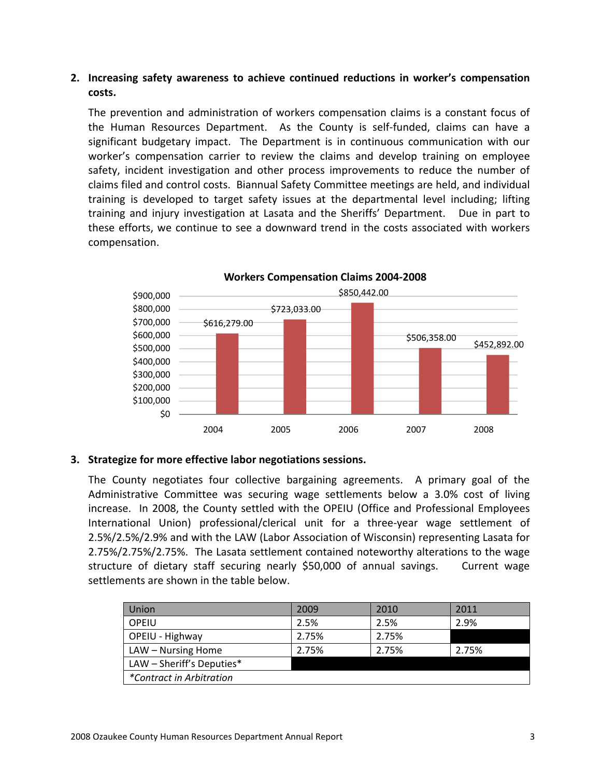### **2. Increasing safety awareness to achieve continued reductions in worker's compensation costs.**

The prevention and administration of workers compensation claims is a constant focus of the Human Resources Department. As the County is self‐funded, claims can have a significant budgetary impact. The Department is in continuous communication with our worker's compensation carrier to review the claims and develop training on employee safety, incident investigation and other process improvements to reduce the number of claims filed and control costs. Biannual Safety Committee meetings are held, and individual training is developed to target safety issues at the departmental level including; lifting training and injury investigation at Lasata and the Sheriffs' Department. Due in part to these efforts, we continue to see a downward trend in the costs associated with workers compensation.



**Workers Compensation Claims 2004‐2008**

#### **3. Strategize for more effective labor negotiations sessions.**

The County negotiates four collective bargaining agreements. A primary goal of the Administrative Committee was securing wage settlements below a 3.0% cost of living increase. In 2008, the County settled with the OPEIU (Office and Professional Employees International Union) professional/clerical unit for a three-year wage settlement of 2.5%/2.5%/2.9% and with the LAW (Labor Association of Wisconsin) representing Lasata for 2.75%/2.75%/2.75%. The Lasata settlement contained noteworthy alterations to the wage structure of dietary staff securing nearly \$50,000 of annual savings. Current wage settlements are shown in the table below.

| Union                           | 2009  | 2010  | 2011  |  |  |  |
|---------------------------------|-------|-------|-------|--|--|--|
| OPEIU                           | 2.5%  | 2.5%  | 2.9%  |  |  |  |
| OPEIU - Highway                 | 2.75% | 2.75% |       |  |  |  |
| LAW - Nursing Home              | 2.75% | 2.75% | 2.75% |  |  |  |
| LAW - Sheriff's Deputies*       |       |       |       |  |  |  |
| <i>*Contract in Arbitration</i> |       |       |       |  |  |  |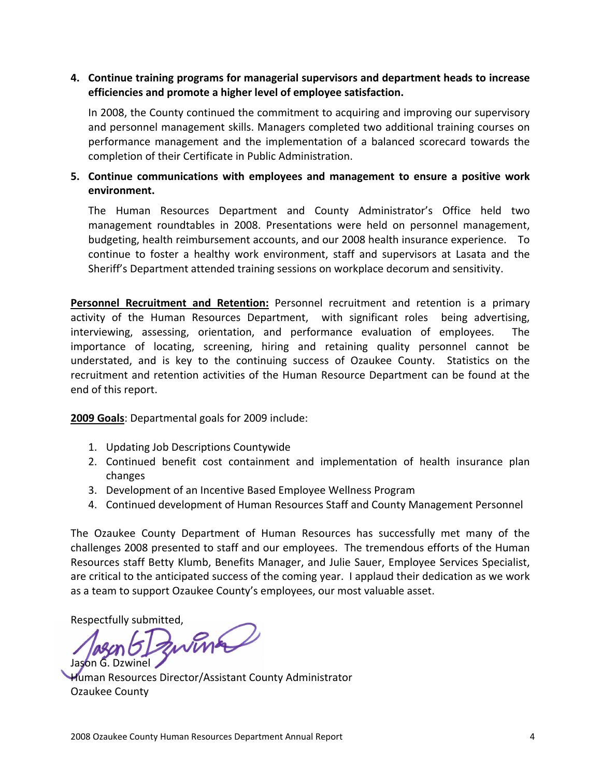### **4. Continue training programs for managerial supervisors and department heads to increase efficiencies and promote a higher level of employee satisfaction.**

In 2008, the County continued the commitment to acquiring and improving our supervisory and personnel management skills. Managers completed two additional training courses on performance management and the implementation of a balanced scorecard towards the completion of their Certificate in Public Administration.

## **5. Continue communications with employees and management to ensure a positive work environment.**

The Human Resources Department and County Administrator's Office held two management roundtables in 2008. Presentations were held on personnel management, budgeting, health reimbursement accounts, and our 2008 health insurance experience. To continue to foster a healthy work environment, staff and supervisors at Lasata and the Sheriff's Department attended training sessions on workplace decorum and sensitivity.

**Personnel Recruitment and Retention:** Personnel recruitment and retention is a primary activity of the Human Resources Department, with significant roles being advertising, interviewing, assessing, orientation, and performance evaluation of employees. The importance of locating, screening, hiring and retaining quality personnel cannot be understated, and is key to the continuing success of Ozaukee County. Statistics on the recruitment and retention activities of the Human Resource Department can be found at the end of this report.

**2009 Goals**: Departmental goals for 2009 include:

- 1. Updating Job Descriptions Countywide
- 2. Continued benefit cost containment and implementation of health insurance plan changes
- 3. Development of an Incentive Based Employee Wellness Program
- 4. Continued development of Human Resources Staff and County Management Personnel

The Ozaukee County Department of Human Resources has successfully met many of the challenges 2008 presented to staff and our employees. The tremendous efforts of the Human Resources staff Betty Klumb, Benefits Manager, and Julie Sauer, Employee Services Specialist, are critical to the anticipated success of the coming year. I applaud their dedication as we work as a team to support Ozaukee County's employees, our most valuable asset.

Respectfully submitted, Jason G. Dzwinel

Human Resources Director/Assistant County Administrator Ozaukee County